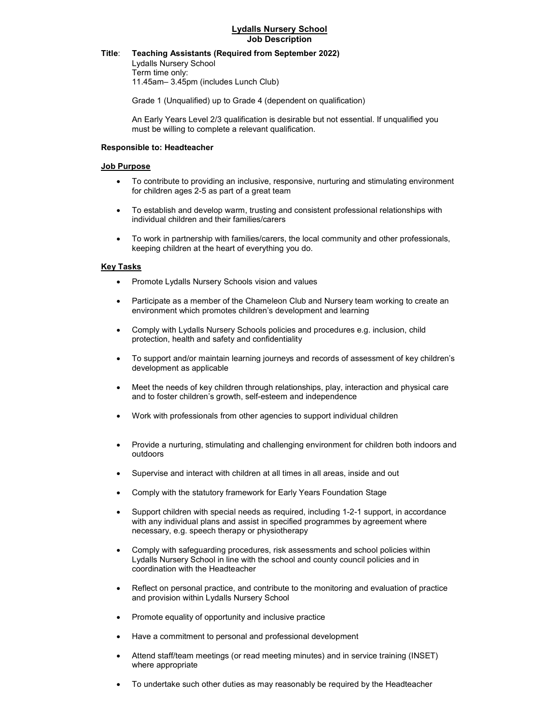## Title: Teaching Assistants (Required from September 2022)

 Lydalls Nursery School Term time only: 11.45am– 3.45pm (includes Lunch Club)

Grade 1 (Unqualified) up to Grade 4 (dependent on qualification)

An Early Years Level 2/3 qualification is desirable but not essential. If unqualified you must be willing to complete a relevant qualification.

#### Responsible to: Headteacher

## Job Purpose

- To contribute to providing an inclusive, responsive, nurturing and stimulating environment for children ages 2-5 as part of a great team
- To establish and develop warm, trusting and consistent professional relationships with individual children and their families/carers
- To work in partnership with families/carers, the local community and other professionals, keeping children at the heart of everything you do.

### Key Tasks

- Promote Lydalls Nursery Schools vision and values
- Participate as a member of the Chameleon Club and Nursery team working to create an environment which promotes children's development and learning
- Comply with Lydalls Nursery Schools policies and procedures e.g. inclusion, child protection, health and safety and confidentiality
- To support and/or maintain learning journeys and records of assessment of key children's development as applicable
- Meet the needs of key children through relationships, play, interaction and physical care and to foster children's growth, self-esteem and independence
- Work with professionals from other agencies to support individual children
- Provide a nurturing, stimulating and challenging environment for children both indoors and outdoors
- Supervise and interact with children at all times in all areas, inside and out
- Comply with the statutory framework for Early Years Foundation Stage
- Support children with special needs as required, including 1-2-1 support, in accordance with any individual plans and assist in specified programmes by agreement where necessary, e.g. speech therapy or physiotherapy
- Comply with safeguarding procedures, risk assessments and school policies within Lydalls Nursery School in line with the school and county council policies and in coordination with the Headteacher
- Reflect on personal practice, and contribute to the monitoring and evaluation of practice and provision within Lydalls Nursery School
- Promote equality of opportunity and inclusive practice
- Have a commitment to personal and professional development
- Attend staff/team meetings (or read meeting minutes) and in service training (INSET) where appropriate
- To undertake such other duties as may reasonably be required by the Headteacher